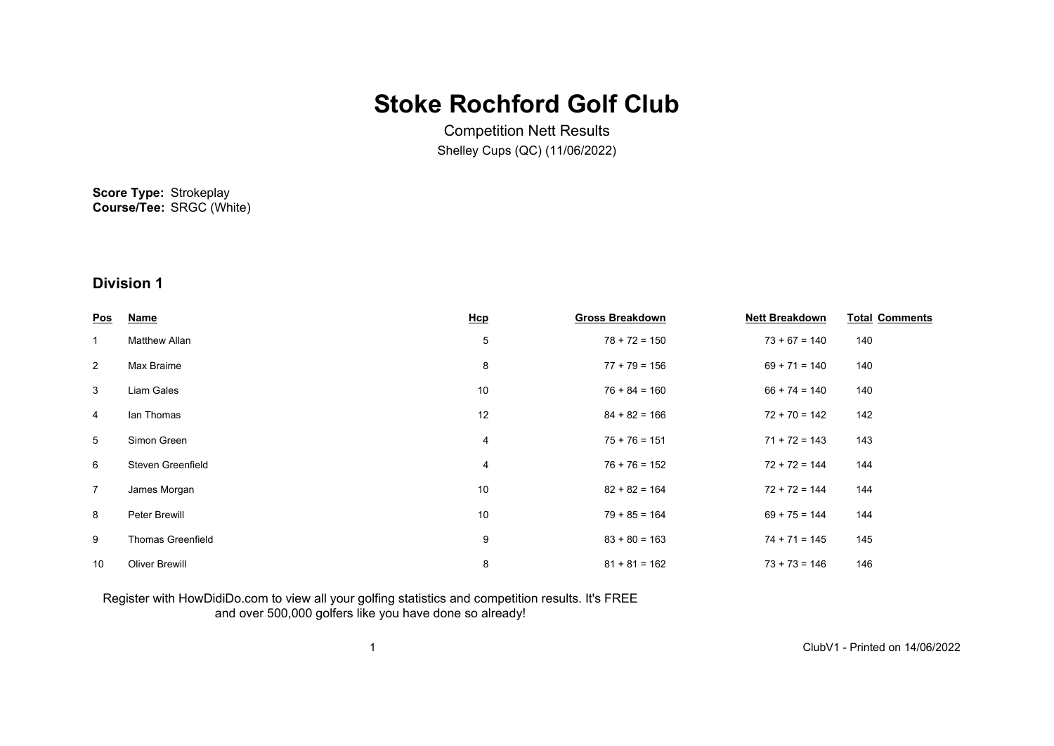# **Stoke Rochford Golf Club**

Competition Nett Results Shelley Cups (QC) (11/06/2022)

**Score Type:** Strokeplay **Course/Tee:** SRGC (White)

### **Division 1**

| <u>Pos</u>      | <b>Name</b>              | Hcp | <b>Gross Breakdown</b> | <b>Nett Breakdown</b> | <b>Total Comments</b> |
|-----------------|--------------------------|-----|------------------------|-----------------------|-----------------------|
| $\mathbf{1}$    | <b>Matthew Allan</b>     | 5   | $78 + 72 = 150$        | $73 + 67 = 140$       | 140                   |
| $\overline{2}$  | Max Braime               | 8   | $77 + 79 = 156$        | $69 + 71 = 140$       | 140                   |
| 3               | Liam Gales               | 10  | $76 + 84 = 160$        | $66 + 74 = 140$       | 140                   |
| 4               | lan Thomas               | 12  | $84 + 82 = 166$        | $72 + 70 = 142$       | 142                   |
| $5\overline{)}$ | Simon Green              | 4   | $75 + 76 = 151$        | $71 + 72 = 143$       | 143                   |
| 6               | Steven Greenfield        | 4   | $76 + 76 = 152$        | $72 + 72 = 144$       | 144                   |
| $\overline{7}$  | James Morgan             | 10  | $82 + 82 = 164$        | $72 + 72 = 144$       | 144                   |
| 8               | Peter Brewill            | 10  | $79 + 85 = 164$        | $69 + 75 = 144$       | 144                   |
| 9               | <b>Thomas Greenfield</b> | 9   | $83 + 80 = 163$        | $74 + 71 = 145$       | 145                   |
| 10              | <b>Oliver Brewill</b>    | 8   | $81 + 81 = 162$        | $73 + 73 = 146$       | 146                   |

#### Register with HowDidiDo.com to view all your golfing statistics and competition results. It's FREE and over 500,000 golfers like you have done so already!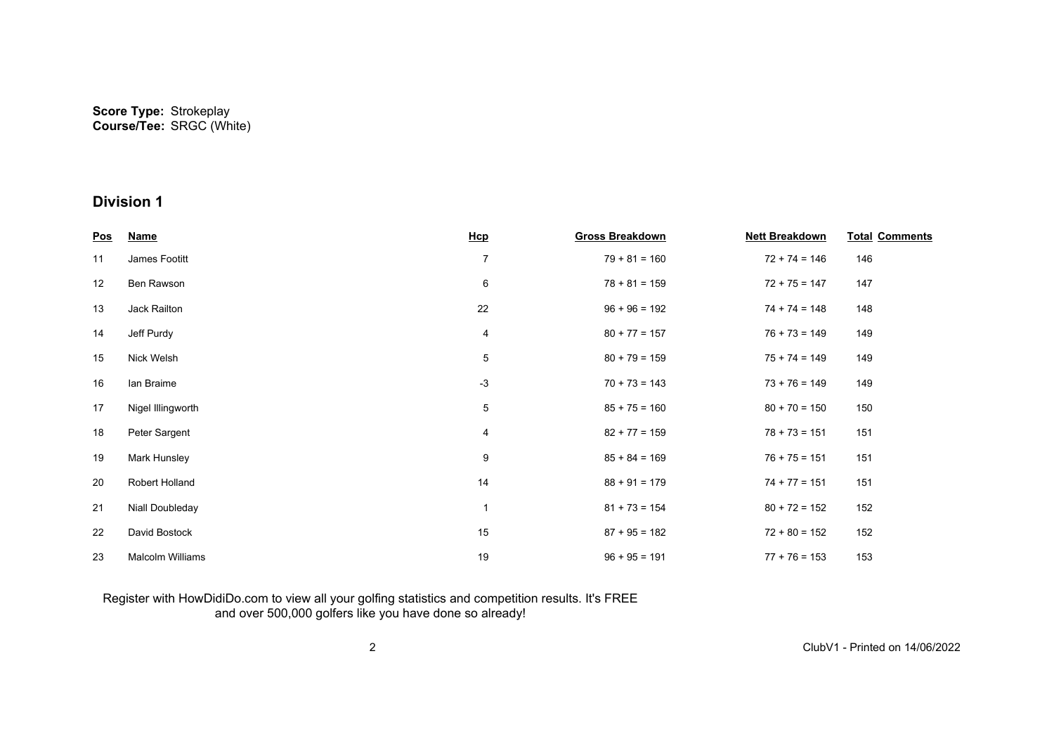| <u>Pos</u> | <b>Name</b>             | Hcp            | <b>Gross Breakdown</b> | <b>Nett Breakdown</b> | <b>Total Comments</b> |
|------------|-------------------------|----------------|------------------------|-----------------------|-----------------------|
| 11         | James Footitt           | $\overline{7}$ | $79 + 81 = 160$        | $72 + 74 = 146$       | 146                   |
| 12         | Ben Rawson              | 6              | $78 + 81 = 159$        | $72 + 75 = 147$       | 147                   |
| 13         | Jack Railton            | 22             | $96 + 96 = 192$        | $74 + 74 = 148$       | 148                   |
| 14         | Jeff Purdy              | 4              | $80 + 77 = 157$        | $76 + 73 = 149$       | 149                   |
| 15         | Nick Welsh              | 5              | $80 + 79 = 159$        | $75 + 74 = 149$       | 149                   |
| 16         | lan Braime              | $-3$           | $70 + 73 = 143$        | $73 + 76 = 149$       | 149                   |
| 17         | Nigel Illingworth       | 5              | $85 + 75 = 160$        | $80 + 70 = 150$       | 150                   |
| 18         | Peter Sargent           | 4              | $82 + 77 = 159$        | $78 + 73 = 151$       | 151                   |
| 19         | Mark Hunsley            | 9              | $85 + 84 = 169$        | $76 + 75 = 151$       | 151                   |
| 20         | Robert Holland          | 14             | $88 + 91 = 179$        | $74 + 77 = 151$       | 151                   |
| 21         | Niall Doubleday         | 1              | $81 + 73 = 154$        | $80 + 72 = 152$       | 152                   |
| 22         | David Bostock           | 15             | $87 + 95 = 182$        | $72 + 80 = 152$       | 152                   |
| 23         | <b>Malcolm Williams</b> | 19             | $96 + 95 = 191$        | $77 + 76 = 153$       | 153                   |

#### Register with HowDidiDo.com to view all your golfing statistics and competition results. It's FREE and over 500,000 golfers like you have done so already!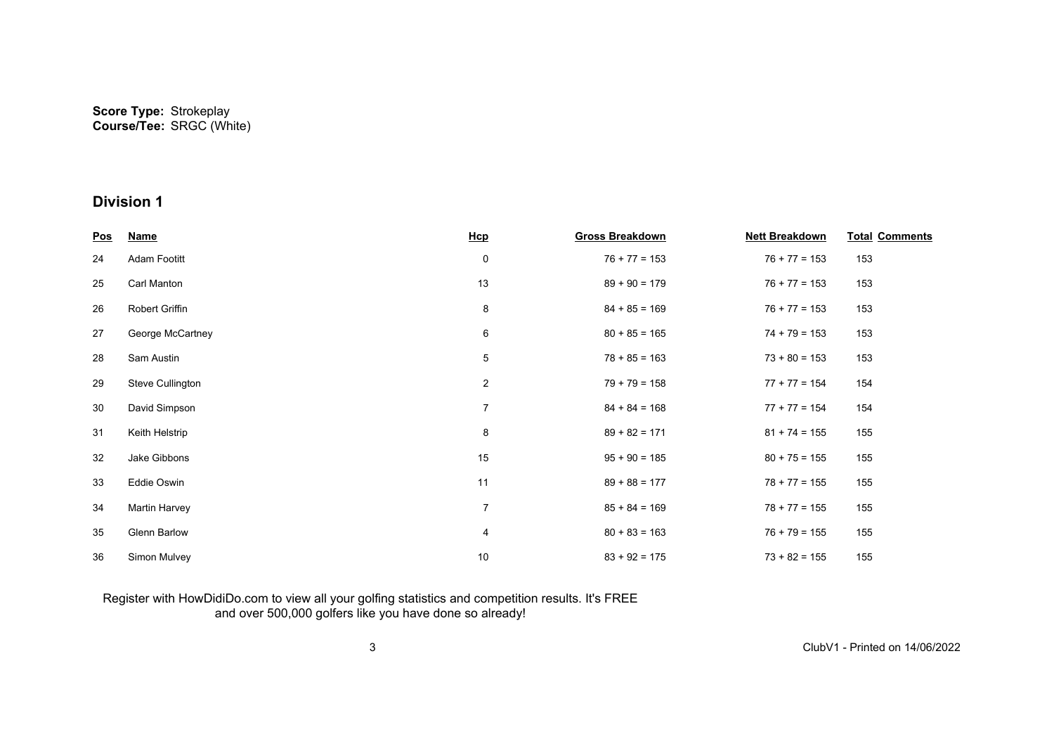| <u>Pos</u> | <b>Name</b>         | Hcp            | <b>Gross Breakdown</b> | <b>Nett Breakdown</b> | <b>Total Comments</b> |
|------------|---------------------|----------------|------------------------|-----------------------|-----------------------|
| 24         | Adam Footitt        | 0              | $76 + 77 = 153$        | $76 + 77 = 153$       | 153                   |
| 25         | Carl Manton         | 13             | $89 + 90 = 179$        | $76 + 77 = 153$       | 153                   |
| 26         | Robert Griffin      | 8              | $84 + 85 = 169$        | $76 + 77 = 153$       | 153                   |
| 27         | George McCartney    | 6              | $80 + 85 = 165$        | $74 + 79 = 153$       | 153                   |
| 28         | Sam Austin          | 5              | $78 + 85 = 163$        | $73 + 80 = 153$       | 153                   |
| 29         | Steve Cullington    | $\overline{c}$ | $79 + 79 = 158$        | $77 + 77 = 154$       | 154                   |
| 30         | David Simpson       | $\overline{7}$ | $84 + 84 = 168$        | $77 + 77 = 154$       | 154                   |
| 31         | Keith Helstrip      | 8              | $89 + 82 = 171$        | $81 + 74 = 155$       | 155                   |
| 32         | Jake Gibbons        | 15             | $95 + 90 = 185$        | $80 + 75 = 155$       | 155                   |
| 33         | Eddie Oswin         | 11             | $89 + 88 = 177$        | $78 + 77 = 155$       | 155                   |
| 34         | Martin Harvey       | $\overline{7}$ | $85 + 84 = 169$        | $78 + 77 = 155$       | 155                   |
| 35         | <b>Glenn Barlow</b> | 4              | $80 + 83 = 163$        | $76 + 79 = 155$       | 155                   |
| 36         | Simon Mulvey        | 10             | $83 + 92 = 175$        | $73 + 82 = 155$       | 155                   |

#### Register with HowDidiDo.com to view all your golfing statistics and competition results. It's FREE and over 500,000 golfers like you have done so already!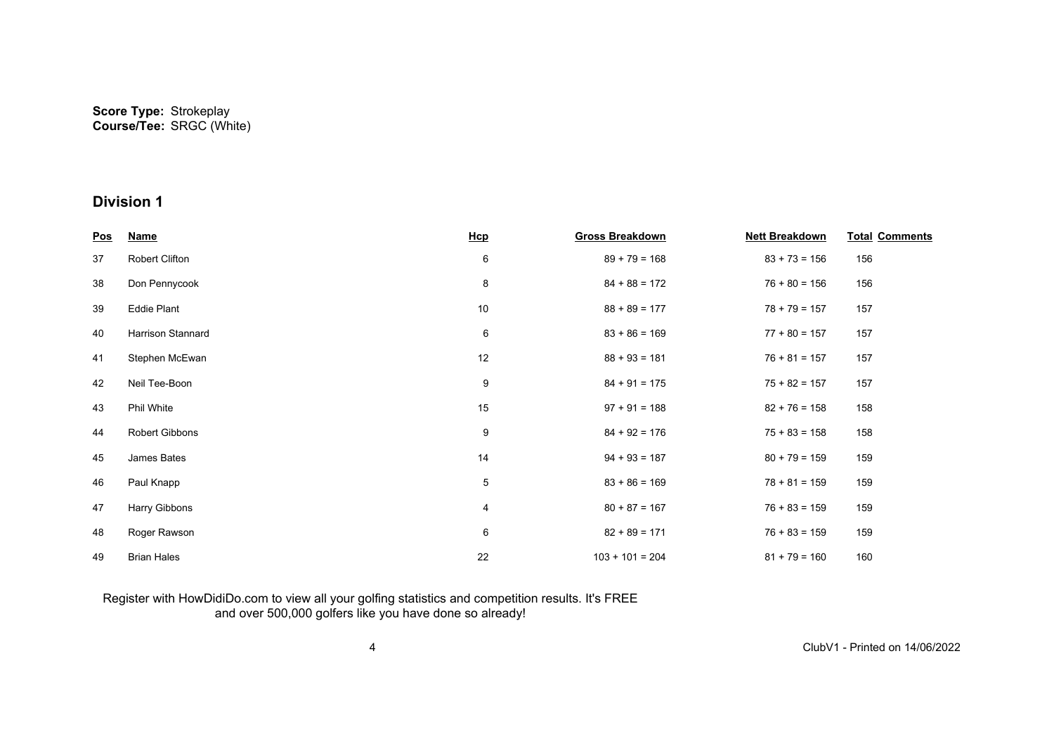| <u>Pos</u> | <b>Name</b>        | Hcp | <b>Gross Breakdown</b> | <b>Nett Breakdown</b> | <b>Total Comments</b> |
|------------|--------------------|-----|------------------------|-----------------------|-----------------------|
| 37         | Robert Clifton     | 6   | $89 + 79 = 168$        | $83 + 73 = 156$       | 156                   |
| 38         | Don Pennycook      | 8   | $84 + 88 = 172$        | $76 + 80 = 156$       | 156                   |
| 39         | Eddie Plant        | 10  | $88 + 89 = 177$        | $78 + 79 = 157$       | 157                   |
| 40         | Harrison Stannard  | 6   | $83 + 86 = 169$        | $77 + 80 = 157$       | 157                   |
| 41         | Stephen McEwan     | 12  | $88 + 93 = 181$        | $76 + 81 = 157$       | 157                   |
| 42         | Neil Tee-Boon      | 9   | $84 + 91 = 175$        | $75 + 82 = 157$       | 157                   |
| 43         | Phil White         | 15  | $97 + 91 = 188$        | $82 + 76 = 158$       | 158                   |
| 44         | Robert Gibbons     | 9   | $84 + 92 = 176$        | $75 + 83 = 158$       | 158                   |
| 45         | James Bates        | 14  | $94 + 93 = 187$        | $80 + 79 = 159$       | 159                   |
| 46         | Paul Knapp         | 5   | $83 + 86 = 169$        | $78 + 81 = 159$       | 159                   |
| 47         | Harry Gibbons      | 4   | $80 + 87 = 167$        | $76 + 83 = 159$       | 159                   |
| 48         | Roger Rawson       | 6   | $82 + 89 = 171$        | $76 + 83 = 159$       | 159                   |
| 49         | <b>Brian Hales</b> | 22  | $103 + 101 = 204$      | $81 + 79 = 160$       | 160                   |

#### Register with HowDidiDo.com to view all your golfing statistics and competition results. It's FREE and over 500,000 golfers like you have done so already!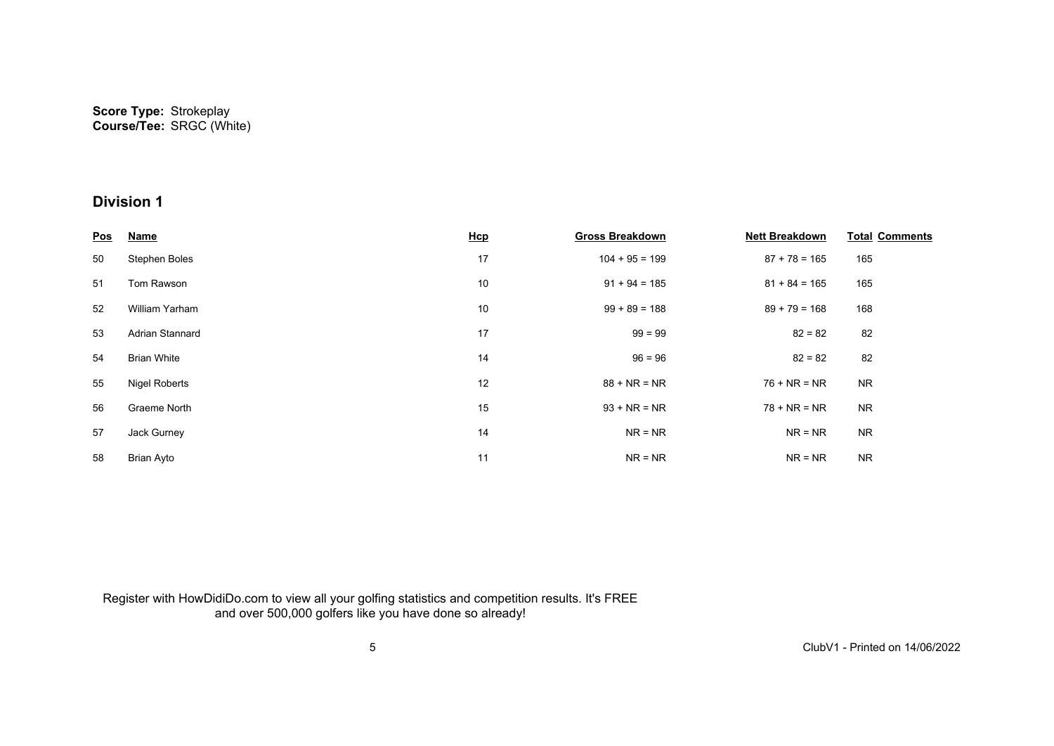| <u>Pos</u> | <b>Name</b>           | <b>Hcp</b> | <b>Gross Breakdown</b> | <b>Nett Breakdown</b> | <b>Total Comments</b> |
|------------|-----------------------|------------|------------------------|-----------------------|-----------------------|
| 50         | Stephen Boles         | 17         | $104 + 95 = 199$       | $87 + 78 = 165$       | 165                   |
| 51         | Tom Rawson            | 10         | $91 + 94 = 185$        | $81 + 84 = 165$       | 165                   |
| 52         | <b>William Yarham</b> | 10         | $99 + 89 = 188$        | $89 + 79 = 168$       | 168                   |
| 53         | Adrian Stannard       | 17         | $99 = 99$              | $82 = 82$             | 82                    |
| 54         | <b>Brian White</b>    | 14         | $96 = 96$              | $82 = 82$             | 82                    |
| 55         | <b>Nigel Roberts</b>  | 12         | $88 + NR = NR$         | $76 + NR = NR$        | <b>NR</b>             |
| 56         | Graeme North          | 15         | $93 + NR = NR$         | $78 + NR = NR$        | <b>NR</b>             |
| 57         | Jack Gurney           | 14         | $NR = NR$              | $NR = NR$             | <b>NR</b>             |
| 58         | Brian Ayto            | 11         | $NR = NR$              | $NR = NR$             | <b>NR</b>             |

Register with HowDidiDo.com to view all your golfing statistics and competition results. It's FREE and over 500,000 golfers like you have done so already!